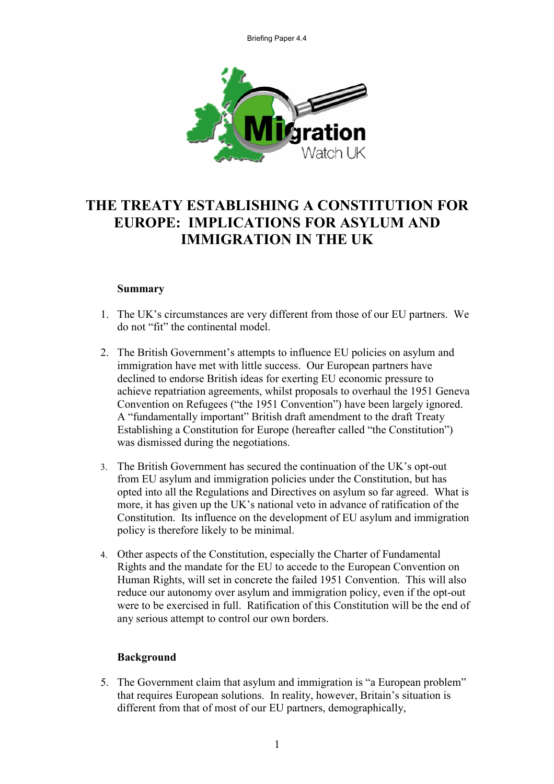

# **THE TREATY ESTABLISHING A CONSTITUTION FOR EUROPE: IMPLICATIONS FOR ASYLUM AND IMMIGRATION IN THE UK**

#### **Summary**

- 1. The UK's circumstances are very different from those of our EU partners. We do not "fit" the continental model.
- 2. The British Government's attempts to influence EU policies on asylum and immigration have met with little success. Our European partners have declined to endorse British ideas for exerting EU economic pressure to achieve repatriation agreements, whilst proposals to overhaul the 1951 Geneva Convention on Refugees ("the 1951 Convention") have been largely ignored. A "fundamentally important" British draft amendment to the draft Treaty Establishing a Constitution for Europe (hereafter called "the Constitution") was dismissed during the negotiations.
- 3. The British Government has secured the continuation of the UK's opt-out from EU asylum and immigration policies under the Constitution, but has opted into all the Regulations and Directives on asylum so far agreed. What is more, it has given up the UK's national veto in advance of ratification of the Constitution. Its influence on the development of EU asylum and immigration policy is therefore likely to be minimal.
- 4. Other aspects of the Constitution, especially the Charter of Fundamental Rights and the mandate for the EU to accede to the European Convention on Human Rights, will set in concrete the failed 1951 Convention. This will also reduce our autonomy over asylum and immigration policy, even if the opt-out were to be exercised in full. Ratification of this Constitution will be the end of any serious attempt to control our own borders.

# **Background**

5. The Government claim that asylum and immigration is "a European problem" that requires European solutions. In reality, however, Britain's situation is different from that of most of our EU partners, demographically,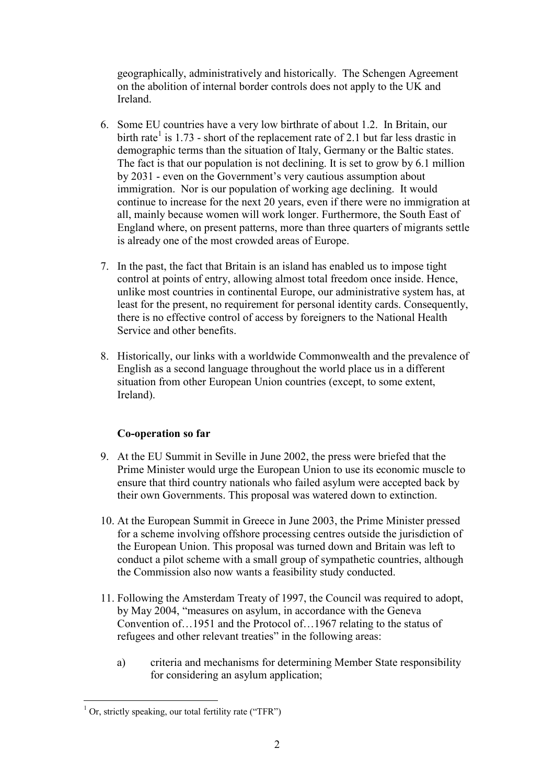geographically, administratively and historically. The Schengen Agreement on the abolition of internal border controls does not apply to the UK and Ireland.

- 6. Some EU countries have a very low birthrate of about 1.2. In Britain, our birth rate<sup>1</sup> is 1.73 - short of the replacement rate of 2.1 but far less drastic in demographic terms than the situation of Italy, Germany or the Baltic states. The fact is that our population is not declining. It is set to grow by 6.1 million by 2031 - even on the Government's very cautious assumption about immigration. Nor is our population of working age declining. It would continue to increase for the next 20 years, even if there were no immigration at all, mainly because women will work longer. Furthermore, the South East of England where, on present patterns, more than three quarters of migrants settle is already one of the most crowded areas of Europe.
- 7. In the past, the fact that Britain is an island has enabled us to impose tight control at points of entry, allowing almost total freedom once inside. Hence, unlike most countries in continental Europe, our administrative system has, at least for the present, no requirement for personal identity cards. Consequently, there is no effective control of access by foreigners to the National Health Service and other benefits.
- 8. Historically, our links with a worldwide Commonwealth and the prevalence of English as a second language throughout the world place us in a different situation from other European Union countries (except, to some extent, Ireland).

# **Co-operation so far**

- 9. At the EU Summit in Seville in June 2002, the press were briefed that the Prime Minister would urge the European Union to use its economic muscle to ensure that third country nationals who failed asylum were accepted back by their own Governments. This proposal was watered down to extinction.
- 10. At the European Summit in Greece in June 2003, the Prime Minister pressed for a scheme involving offshore processing centres outside the jurisdiction of the European Union. This proposal was turned down and Britain was left to conduct a pilot scheme with a small group of sympathetic countries, although the Commission also now wants a feasibility study conducted.
- 11. Following the Amsterdam Treaty of 1997, the Council was required to adopt, by May 2004, "measures on asylum, in accordance with the Geneva Convention of…1951 and the Protocol of…1967 relating to the status of refugees and other relevant treaties" in the following areas:
	- a) criteria and mechanisms for determining Member State responsibility for considering an asylum application;

 $1$  Or, strictly speaking, our total fertility rate ("TFR")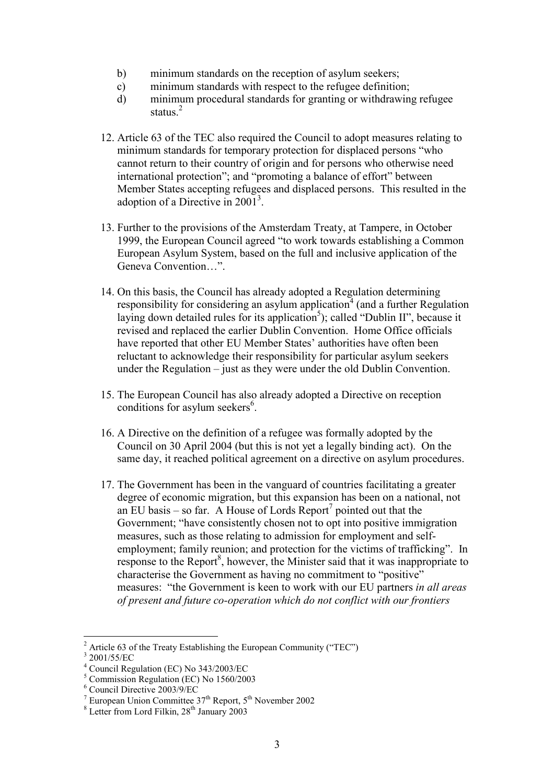- b) minimum standards on the reception of asylum seekers;
- c) minimum standards with respect to the refugee definition;
- d) minimum procedural standards for granting or withdrawing refugee status.<sup>2</sup>
- 12. Article 63 of the TEC also required the Council to adopt measures relating to minimum standards for temporary protection for displaced persons "who cannot return to their country of origin and for persons who otherwise need international protection"; and "promoting a balance of effort" between Member States accepting refugees and displaced persons. This resulted in the adoption of a Directive in  $2001<sup>3</sup>$ .
- 13. Further to the provisions of the Amsterdam Treaty, at Tampere, in October 1999, the European Council agreed "to work towards establishing a Common European Asylum System, based on the full and inclusive application of the Geneva Convention…".
- 14. On this basis, the Council has already adopted a Regulation determining responsibility for considering an asylum application  $4 \text{ (and a further Regulation)}$ laying down detailed rules for its application<sup>5</sup>); called "Dublin II", because it revised and replaced the earlier Dublin Convention. Home Office officials have reported that other EU Member States' authorities have often been reluctant to acknowledge their responsibility for particular asylum seekers under the Regulation – just as they were under the old Dublin Convention.
- 15. The European Council has also already adopted a Directive on reception conditions for asylum seekers $6$ .
- 16. A Directive on the definition of a refugee was formally adopted by the Council on 30 April 2004 (but this is not yet a legally binding act). On the same day, it reached political agreement on a directive on asylum procedures.
- 17. The Government has been in the vanguard of countries facilitating a greater degree of economic migration, but this expansion has been on a national, not an EU basis – so far. A House of Lords Report<sup>7</sup> pointed out that the Government; "have consistently chosen not to opt into positive immigration measures, such as those relating to admission for employment and selfemployment; family reunion; and protection for the victims of trafficking". In response to the Report $^8$ , however, the Minister said that it was inappropriate to characterise the Government as having no commitment to "positive" measures: "the Government is keen to work with our EU partners *in all areas of present and future co-operation which do not conflict with our frontiers*

 $2$  Article 63 of the Treaty Establishing the European Community ("TEC")

<sup>3</sup> 2001/55/EC

<sup>4</sup> Council Regulation (EC) No 343/2003/EC

<sup>5</sup> Commission Regulation (EC) No 1560/2003

<sup>6</sup> Council Directive 2003/9/EC

<sup>&</sup>lt;sup>7</sup> European Union Committee  $37<sup>th</sup>$  Report,  $5<sup>th</sup>$  November 2002 <sup>8</sup> Letter from Lord Filkin,  $28<sup>th</sup>$  January 2003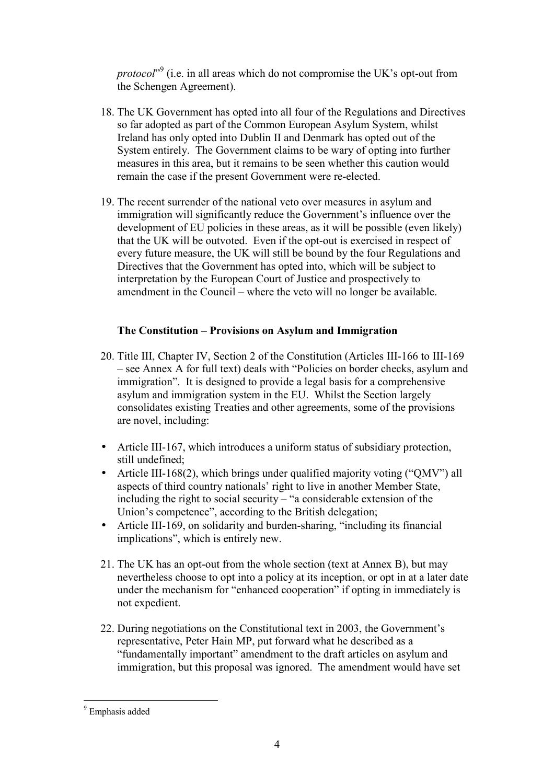*protocol*" <sup>9</sup> (i.e. in all areas which do not compromise the UK's opt-out from the Schengen Agreement).

- 18. The UK Government has opted into all four of the Regulations and Directives so far adopted as part of the Common European Asylum System, whilst Ireland has only opted into Dublin II and Denmark has opted out of the System entirely. The Government claims to be wary of opting into further measures in this area, but it remains to be seen whether this caution would remain the case if the present Government were re-elected.
- 19. The recent surrender of the national veto over measures in asylum and immigration will significantly reduce the Government's influence over the development of EU policies in these areas, as it will be possible (even likely) that the UK will be outvoted. Even if the opt-out is exercised in respect of every future measure, the UK will still be bound by the four Regulations and Directives that the Government has opted into, which will be subject to interpretation by the European Court of Justice and prospectively to amendment in the Council – where the veto will no longer be available.

# **The Constitution – Provisions on Asylum and Immigration**

- 20. Title III, Chapter IV, Section 2 of the Constitution (Articles III-166 to III-169 – see Annex A for full text) deals with "Policies on border checks, asylum and immigration". It is designed to provide a legal basis for a comprehensive asylum and immigration system in the EU. Whilst the Section largely consolidates existing Treaties and other agreements, some of the provisions are novel, including:
- Article III-167, which introduces a uniform status of subsidiary protection, still undefined;
- Article III-168(2), which brings under qualified majority voting ("QMV") all aspects of third country nationals' right to live in another Member State, including the right to social security – "a considerable extension of the Union's competence", according to the British delegation;
- Article III-169, on solidarity and burden-sharing, "including its financial implications", which is entirely new.
- 21. The UK has an opt-out from the whole section (text at Annex B), but may nevertheless choose to opt into a policy at its inception, or opt in at a later date under the mechanism for "enhanced cooperation" if opting in immediately is not expedient.
- 22. During negotiations on the Constitutional text in 2003, the Government's representative, Peter Hain MP, put forward what he described as a "fundamentally important" amendment to the draft articles on asylum and immigration, but this proposal was ignored. The amendment would have set

<sup>&</sup>lt;sup>9</sup> Emphasis added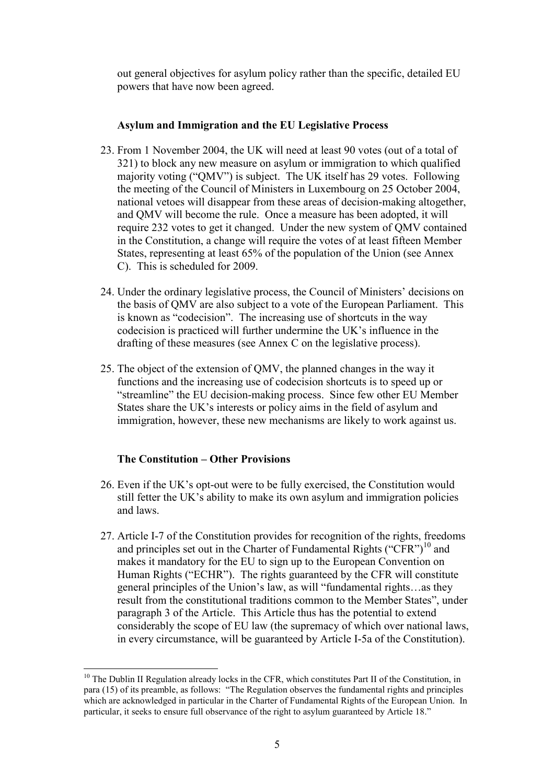out general objectives for asylum policy rather than the specific, detailed EU powers that have now been agreed.

#### **Asylum and Immigration and the EU Legislative Process**

- 23. From 1 November 2004, the UK will need at least 90 votes (out of a total of 321) to block any new measure on asylum or immigration to which qualified majority voting ("QMV") is subject. The UK itself has 29 votes. Following the meeting of the Council of Ministers in Luxembourg on 25 October 2004, national vetoes will disappear from these areas of decision-making altogether, and QMV will become the rule. Once a measure has been adopted, it will require 232 votes to get it changed. Under the new system of QMV contained in the Constitution, a change will require the votes of at least fifteen Member States, representing at least 65% of the population of the Union (see Annex C). This is scheduled for 2009.
- 24. Under the ordinary legislative process, the Council of Ministers' decisions on the basis of QMV are also subject to a vote of the European Parliament. This is known as "codecision". The increasing use of shortcuts in the way codecision is practiced will further undermine the UK's influence in the drafting of these measures (see Annex C on the legislative process).
- 25. The object of the extension of QMV, the planned changes in the way it functions and the increasing use of codecision shortcuts is to speed up or "streamline" the EU decision-making process. Since few other EU Member States share the UK's interests or policy aims in the field of asylum and immigration, however, these new mechanisms are likely to work against us.

# **The Constitution – Other Provisions**

- 26. Even if the UK's opt-out were to be fully exercised, the Constitution would still fetter the UK's ability to make its own asylum and immigration policies and laws.
- 27. Article I-7 of the Constitution provides for recognition of the rights, freedoms and principles set out in the Charter of Fundamental Rights ("CFR")<sup>10</sup> and makes it mandatory for the EU to sign up to the European Convention on Human Rights ("ECHR"). The rights guaranteed by the CFR will constitute general principles of the Union's law, as will "fundamental rights…as they result from the constitutional traditions common to the Member States", under paragraph 3 of the Article. This Article thus has the potential to extend considerably the scope of EU law (the supremacy of which over national laws, in every circumstance, will be guaranteed by Article I-5a of the Constitution).

<sup>&</sup>lt;sup>10</sup> The Dublin II Regulation already locks in the CFR, which constitutes Part II of the Constitution, in para (15) of its preamble, as follows: "The Regulation observes the fundamental rights and principles which are acknowledged in particular in the Charter of Fundamental Rights of the European Union. In particular, it seeks to ensure full observance of the right to asylum guaranteed by Article 18."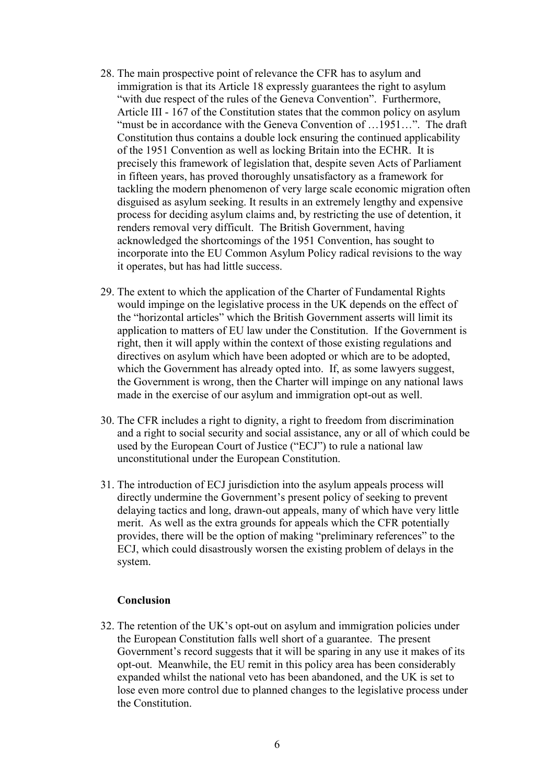- 28. The main prospective point of relevance the CFR has to asylum and immigration is that its Article 18 expressly guarantees the right to asylum "with due respect of the rules of the Geneva Convention". Furthermore, Article III - 167 of the Constitution states that the common policy on asylum "must be in accordance with the Geneva Convention of ...1951...". The draft Constitution thus contains a double lock ensuring the continued applicability of the 1951 Convention as well as locking Britain into the ECHR. It is precisely this framework of legislation that, despite seven Acts of Parliament in fifteen years, has proved thoroughly unsatisfactory as a framework for tackling the modern phenomenon of very large scale economic migration often disguised as asylum seeking. It results in an extremely lengthy and expensive process for deciding asylum claims and, by restricting the use of detention, it renders removal very difficult. The British Government, having acknowledged the shortcomings of the 1951 Convention, has sought to incorporate into the EU Common Asylum Policy radical revisions to the way it operates, but has had little success.
- 29. The extent to which the application of the Charter of Fundamental Rights would impinge on the legislative process in the UK depends on the effect of the "horizontal articles" which the British Government asserts will limit its application to matters of EU law under the Constitution. If the Government is right, then it will apply within the context of those existing regulations and directives on asylum which have been adopted or which are to be adopted, which the Government has already opted into. If, as some lawyers suggest, the Government is wrong, then the Charter will impinge on any national laws made in the exercise of our asylum and immigration opt-out as well.
- 30. The CFR includes a right to dignity, a right to freedom from discrimination and a right to social security and social assistance, any or all of which could be used by the European Court of Justice ("ECJ") to rule a national law unconstitutional under the European Constitution.
- 31. The introduction of ECJ jurisdiction into the asylum appeals process will directly undermine the Government's present policy of seeking to prevent delaying tactics and long, drawn-out appeals, many of which have very little merit. As well as the extra grounds for appeals which the CFR potentially provides, there will be the option of making "preliminary references" to the ECJ, which could disastrously worsen the existing problem of delays in the system.

#### **Conclusion**

32. The retention of the UK's opt-out on asylum and immigration policies under the European Constitution falls well short of a guarantee. The present Government's record suggests that it will be sparing in any use it makes of its opt-out. Meanwhile, the EU remit in this policy area has been considerably expanded whilst the national veto has been abandoned, and the UK is set to lose even more control due to planned changes to the legislative process under the Constitution.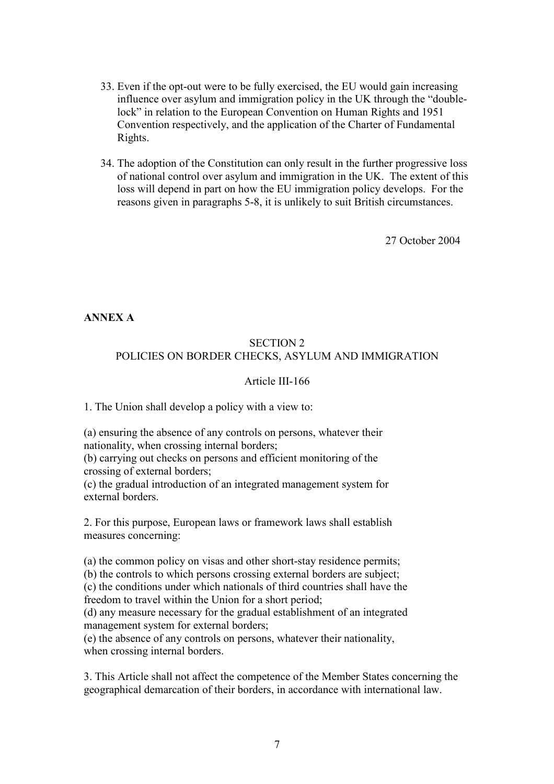- 33. Even if the opt-out were to be fully exercised, the EU would gain increasing influence over asylum and immigration policy in the UK through the "doublelock" in relation to the European Convention on Human Rights and 1951 Convention respectively, and the application of the Charter of Fundamental Rights.
- 34. The adoption of the Constitution can only result in the further progressive loss of national control over asylum and immigration in the UK. The extent of this loss will depend in part on how the EU immigration policy develops. For the reasons given in paragraphs 5-8, it is unlikely to suit British circumstances.

27 October 2004

**ANNEX A** 

# SECTION 2 POLICIES ON BORDER CHECKS, ASYLUM AND IMMIGRATION

# Article III-166

1. The Union shall develop a policy with a view to:

(a) ensuring the absence of any controls on persons, whatever their nationality, when crossing internal borders;

(b) carrying out checks on persons and efficient monitoring of the crossing of external borders;

(c) the gradual introduction of an integrated management system for external borders.

2. For this purpose, European laws or framework laws shall establish measures concerning:

(a) the common policy on visas and other short-stay residence permits;

(b) the controls to which persons crossing external borders are subject;

(c) the conditions under which nationals of third countries shall have the freedom to travel within the Union for a short period;

(d) any measure necessary for the gradual establishment of an integrated management system for external borders;

(e) the absence of any controls on persons, whatever their nationality, when crossing internal borders.

3. This Article shall not affect the competence of the Member States concerning the geographical demarcation of their borders, in accordance with international law.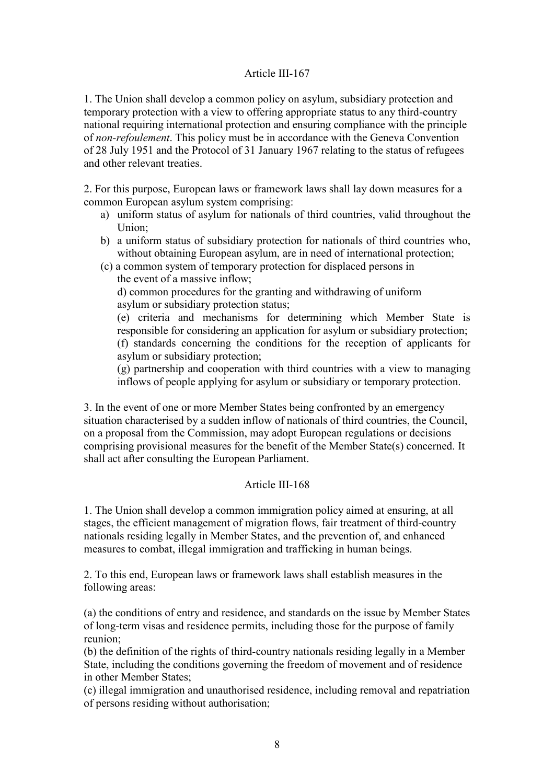#### Article III-167

1. The Union shall develop a common policy on asylum, subsidiary protection and temporary protection with a view to offering appropriate status to any third-country national requiring international protection and ensuring compliance with the principle of *non-refoulement*. This policy must be in accordance with the Geneva Convention of 28 July 1951 and the Protocol of 31 January 1967 relating to the status of refugees and other relevant treaties.

2. For this purpose, European laws or framework laws shall lay down measures for a common European asylum system comprising:

- a) uniform status of asylum for nationals of third countries, valid throughout the Union;
- b) a uniform status of subsidiary protection for nationals of third countries who, without obtaining European asylum, are in need of international protection;
- (c) a common system of temporary protection for displaced persons in the event of a massive inflow; d) common procedures for the granting and withdrawing of uniform asylum or subsidiary protection status;
	- (e) criteria and mechanisms for determining which Member State is responsible for considering an application for asylum or subsidiary protection; (f) standards concerning the conditions for the reception of applicants for asylum or subsidiary protection;

(g) partnership and cooperation with third countries with a view to managing inflows of people applying for asylum or subsidiary or temporary protection.

3. In the event of one or more Member States being confronted by an emergency situation characterised by a sudden inflow of nationals of third countries, the Council, on a proposal from the Commission, may adopt European regulations or decisions comprising provisional measures for the benefit of the Member State(s) concerned. It shall act after consulting the European Parliament.

# Article III-168

1. The Union shall develop a common immigration policy aimed at ensuring, at all stages, the efficient management of migration flows, fair treatment of third-country nationals residing legally in Member States, and the prevention of, and enhanced measures to combat, illegal immigration and trafficking in human beings.

2. To this end, European laws or framework laws shall establish measures in the following areas:

(a) the conditions of entry and residence, and standards on the issue by Member States of long-term visas and residence permits, including those for the purpose of family reunion;

(b) the definition of the rights of third-country nationals residing legally in a Member State, including the conditions governing the freedom of movement and of residence in other Member States;

(c) illegal immigration and unauthorised residence, including removal and repatriation of persons residing without authorisation;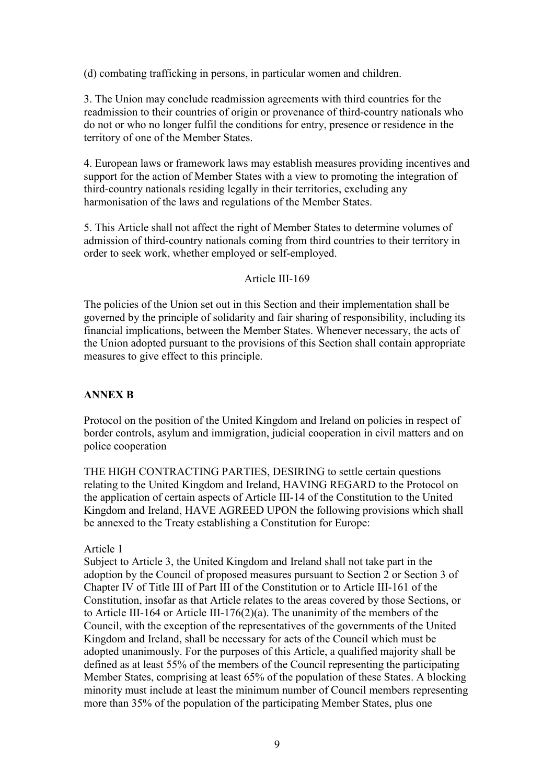(d) combating trafficking in persons, in particular women and children.

3. The Union may conclude readmission agreements with third countries for the readmission to their countries of origin or provenance of third-country nationals who do not or who no longer fulfil the conditions for entry, presence or residence in the territory of one of the Member States.

4. European laws or framework laws may establish measures providing incentives and support for the action of Member States with a view to promoting the integration of third-country nationals residing legally in their territories, excluding any harmonisation of the laws and regulations of the Member States.

5. This Article shall not affect the right of Member States to determine volumes of admission of third-country nationals coming from third countries to their territory in order to seek work, whether employed or self-employed.

#### Article III-169

The policies of the Union set out in this Section and their implementation shall be governed by the principle of solidarity and fair sharing of responsibility, including its financial implications, between the Member States. Whenever necessary, the acts of the Union adopted pursuant to the provisions of this Section shall contain appropriate measures to give effect to this principle.

# **ANNEX B**

Protocol on the position of the United Kingdom and Ireland on policies in respect of border controls, asylum and immigration, judicial cooperation in civil matters and on police cooperation

THE HIGH CONTRACTING PARTIES, DESIRING to settle certain questions relating to the United Kingdom and Ireland, HAVING REGARD to the Protocol on the application of certain aspects of Article III-14 of the Constitution to the United Kingdom and Ireland, HAVE AGREED UPON the following provisions which shall be annexed to the Treaty establishing a Constitution for Europe:

# Article 1

Subject to Article 3, the United Kingdom and Ireland shall not take part in the adoption by the Council of proposed measures pursuant to Section 2 or Section 3 of Chapter IV of Title III of Part III of the Constitution or to Article III-161 of the Constitution, insofar as that Article relates to the areas covered by those Sections, or to Article III-164 or Article III-176(2)(a). The unanimity of the members of the Council, with the exception of the representatives of the governments of the United Kingdom and Ireland, shall be necessary for acts of the Council which must be adopted unanimously. For the purposes of this Article, a qualified majority shall be defined as at least 55% of the members of the Council representing the participating Member States, comprising at least 65% of the population of these States. A blocking minority must include at least the minimum number of Council members representing more than 35% of the population of the participating Member States, plus one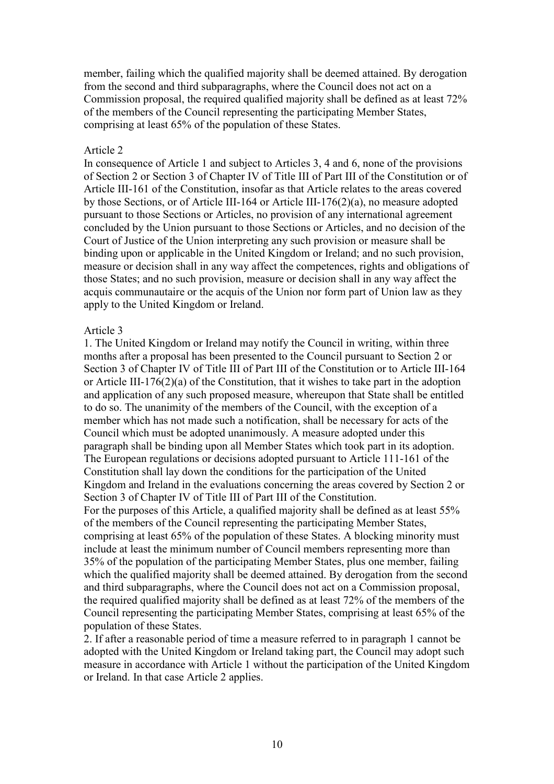member, failing which the qualified majority shall be deemed attained. By derogation from the second and third subparagraphs, where the Council does not act on a Commission proposal, the required qualified majority shall be defined as at least 72% of the members of the Council representing the participating Member States, comprising at least 65% of the population of these States.

#### Article 2

In consequence of Article 1 and subject to Articles 3, 4 and 6, none of the provisions of Section 2 or Section 3 of Chapter IV of Title III of Part III of the Constitution or of Article III-161 of the Constitution, insofar as that Article relates to the areas covered by those Sections, or of Article III-164 or Article III-176(2)(a), no measure adopted pursuant to those Sections or Articles, no provision of any international agreement concluded by the Union pursuant to those Sections or Articles, and no decision of the Court of Justice of the Union interpreting any such provision or measure shall be binding upon or applicable in the United Kingdom or Ireland; and no such provision, measure or decision shall in any way affect the competences, rights and obligations of those States; and no such provision, measure or decision shall in any way affect the acquis communautaire or the acquis of the Union nor form part of Union law as they apply to the United Kingdom or Ireland.

#### Article 3

1. The United Kingdom or Ireland may notify the Council in writing, within three months after a proposal has been presented to the Council pursuant to Section 2 or Section 3 of Chapter IV of Title III of Part III of the Constitution or to Article III-164 or Article III-176(2)(a) of the Constitution, that it wishes to take part in the adoption and application of any such proposed measure, whereupon that State shall be entitled to do so. The unanimity of the members of the Council, with the exception of a member which has not made such a notification, shall be necessary for acts of the Council which must be adopted unanimously. A measure adopted under this paragraph shall be binding upon all Member States which took part in its adoption. The European regulations or decisions adopted pursuant to Article 111-161 of the Constitution shall lay down the conditions for the participation of the United Kingdom and Ireland in the evaluations concerning the areas covered by Section 2 or Section 3 of Chapter IV of Title III of Part III of the Constitution. For the purposes of this Article, a qualified majority shall be defined as at least 55% of the members of the Council representing the participating Member States, comprising at least 65% of the population of these States. A blocking minority must include at least the minimum number of Council members representing more than 35% of the population of the participating Member States, plus one member, failing which the qualified majority shall be deemed attained. By derogation from the second and third subparagraphs, where the Council does not act on a Commission proposal, the required qualified majority shall be defined as at least 72% of the members of the Council representing the participating Member States, comprising at least 65% of the population of these States.

2. If after a reasonable period of time a measure referred to in paragraph 1 cannot be adopted with the United Kingdom or Ireland taking part, the Council may adopt such measure in accordance with Article 1 without the participation of the United Kingdom or Ireland. In that case Article 2 applies.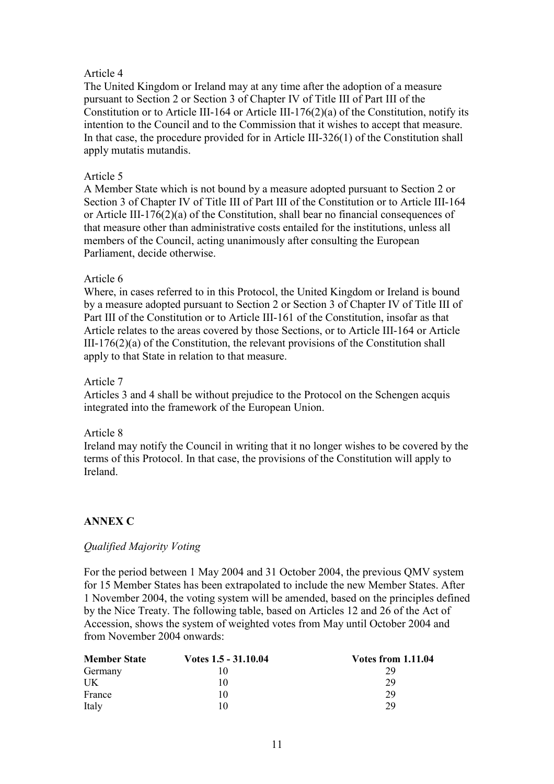# Article 4

The United Kingdom or Ireland may at any time after the adoption of a measure pursuant to Section 2 or Section 3 of Chapter IV of Title III of Part III of the Constitution or to Article III-164 or Article III-176(2)(a) of the Constitution, notify its intention to the Council and to the Commission that it wishes to accept that measure. In that case, the procedure provided for in Article III-326(1) of the Constitution shall apply mutatis mutandis.

#### Article 5

A Member State which is not bound by a measure adopted pursuant to Section 2 or Section 3 of Chapter IV of Title III of Part III of the Constitution or to Article III-164 or Article III-176(2)(a) of the Constitution, shall bear no financial consequences of that measure other than administrative costs entailed for the institutions, unless all members of the Council, acting unanimously after consulting the European Parliament, decide otherwise.

# Article 6

Where, in cases referred to in this Protocol, the United Kingdom or Ireland is bound by a measure adopted pursuant to Section 2 or Section 3 of Chapter IV of Title III of Part III of the Constitution or to Article III-161 of the Constitution, insofar as that Article relates to the areas covered by those Sections, or to Article III-164 or Article III-176(2)(a) of the Constitution, the relevant provisions of the Constitution shall apply to that State in relation to that measure.

#### Article 7

Articles 3 and 4 shall be without prejudice to the Protocol on the Schengen acquis integrated into the framework of the European Union.

#### Article 8

Ireland may notify the Council in writing that it no longer wishes to be covered by the terms of this Protocol. In that case, the provisions of the Constitution will apply to Ireland.

# **ANNEX C**

# *Qualified Majority Voting*

For the period between 1 May 2004 and 31 October 2004, the previous QMV system for 15 Member States has been extrapolated to include the new Member States. After 1 November 2004, the voting system will be amended, based on the principles defined by the Nice Treaty. The following table, based on Articles 12 and 26 of the Act of Accession, shows the system of weighted votes from May until October 2004 and from November 2004 onwards:

| <b>Member State</b> | Votes 1.5 - 31.10.04 | <b>Votes from 1.11.04</b> |
|---------------------|----------------------|---------------------------|
| Germany             |                      | 29                        |
| UK                  | 10                   | 29                        |
| France              | 10                   | 29                        |
| Italy               | 10                   | 29                        |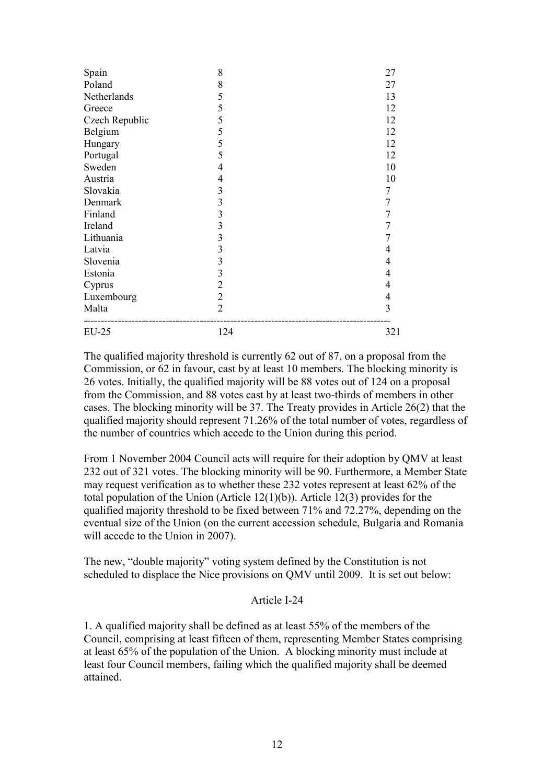| Spain          | 8                       | 27             |
|----------------|-------------------------|----------------|
| Poland         | 8                       | 27             |
| Netherlands    | 5                       | 13             |
| Greece         | 5                       | 12             |
| Czech Republic | 5                       | 12             |
| Belgium        | 5                       | 12             |
| Hungary        | 5                       | 12             |
| Portugal       | 5                       | 12             |
| Sweden         | $\overline{4}$          | 10             |
| Austria        | 4                       | 10             |
| Slovakia       | 3                       | 7              |
| Denmark        | $\overline{3}$          | 7              |
| Finland        | $\overline{3}$          |                |
| Ireland        | $\overline{\mathbf{3}}$ |                |
| Lithuania      | $\overline{3}$          |                |
| Latvia         | $\overline{3}$          | 4              |
| Slovenia       | $\mathfrak{Z}$          | 4              |
| Estonia        | $\overline{3}$          | 4              |
| Cyprus         | $\overline{2}$          | 4              |
| Luxembourg     | $\overline{2}$          | 4              |
| Malta          | $\overline{2}$          | $\overline{3}$ |
| $EU-25$        | 124                     | 321            |

The qualified majority threshold is currently 62 out of 87, on a proposal from the Commission, or 62 in favour, cast by at least 10 members. The blocking minority is 26 votes. Initially, the qualified majority will be 88 votes out of 124 on a proposal from the Commission, and 88 votes cast by at least two-thirds of members in other cases. The blocking minority will be 37. The Treaty provides in Article 26(2) that the qualified majority should represent 71.26% of the total number of votes, regardless of the number of countries which accede to the Union during this period.

From 1 November 2004 Council acts will require for their adoption by QMV at least 232 out of 321 votes. The blocking minority will be 90. Furthermore, a Member State may request verification as to whether these 232 votes represent at least 62% of the total population of the Union (Article 12(1)(b)). Article 12(3) provides for the qualified majority threshold to be fixed between 71% and 72.27%, depending on the eventual size of the Union (on the current accession schedule, Bulgaria and Romania will accede to the Union in 2007).

The new, "double majority" voting system defined by the Constitution is not scheduled to displace the Nice provisions on QMV until 2009. It is set out below:

#### Article I-24

1. A qualified majority shall be defined as at least 55% of the members of the Council, comprising at least fifteen of them, representing Member States comprising at least 65% of the population of the Union. A blocking minority must include at least four Council members, failing which the qualified majority shall be deemed attained.